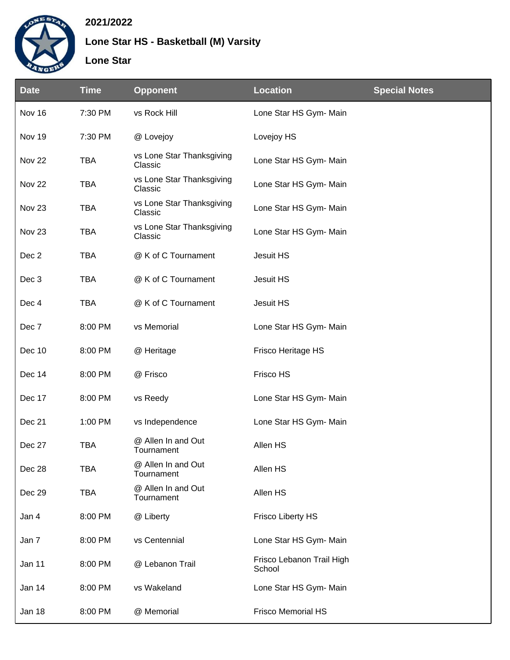

## **2021/2022**

**Lone Star HS - Basketball (M) Varsity**

## **Lone Star**

| <b>Date</b>       | <b>Time</b> | <b>Opponent</b>                      | <b>Location</b>                     | <b>Special Notes</b> |
|-------------------|-------------|--------------------------------------|-------------------------------------|----------------------|
| Nov 16            | 7:30 PM     | vs Rock Hill                         | Lone Star HS Gym- Main              |                      |
| Nov 19            | 7:30 PM     | @ Lovejoy                            | Lovejoy HS                          |                      |
| Nov <sub>22</sub> | <b>TBA</b>  | vs Lone Star Thanksgiving<br>Classic | Lone Star HS Gym- Main              |                      |
| Nov <sub>22</sub> | <b>TBA</b>  | vs Lone Star Thanksgiving<br>Classic | Lone Star HS Gym- Main              |                      |
| Nov <sub>23</sub> | <b>TBA</b>  | vs Lone Star Thanksgiving<br>Classic | Lone Star HS Gym- Main              |                      |
| Nov <sub>23</sub> | <b>TBA</b>  | vs Lone Star Thanksgiving<br>Classic | Lone Star HS Gym- Main              |                      |
| Dec 2             | <b>TBA</b>  | @ K of C Tournament                  | Jesuit HS                           |                      |
| Dec 3             | <b>TBA</b>  | @ K of C Tournament                  | Jesuit HS                           |                      |
| Dec 4             | <b>TBA</b>  | @ K of C Tournament                  | Jesuit HS                           |                      |
| Dec 7             | 8:00 PM     | vs Memorial                          | Lone Star HS Gym- Main              |                      |
| Dec 10            | 8:00 PM     | @ Heritage                           | Frisco Heritage HS                  |                      |
| Dec 14            | 8:00 PM     | @ Frisco                             | Frisco HS                           |                      |
| Dec 17            | 8:00 PM     | vs Reedy                             | Lone Star HS Gym- Main              |                      |
| Dec 21            | 1:00 PM     | vs Independence                      | Lone Star HS Gym- Main              |                      |
| Dec 27            | <b>TBA</b>  | @ Allen In and Out<br>Tournament     | Allen HS                            |                      |
| Dec 28            | <b>TBA</b>  | @ Allen In and Out<br>Tournament     | Allen HS                            |                      |
| Dec 29            | <b>TBA</b>  | @ Allen In and Out<br>Tournament     | Allen HS                            |                      |
| Jan 4             | 8:00 PM     | @ Liberty                            | <b>Frisco Liberty HS</b>            |                      |
| Jan 7             | 8:00 PM     | vs Centennial                        | Lone Star HS Gym- Main              |                      |
| Jan 11            | 8:00 PM     | @ Lebanon Trail                      | Frisco Lebanon Trail High<br>School |                      |
| Jan 14            | 8:00 PM     | vs Wakeland                          | Lone Star HS Gym- Main              |                      |
| Jan 18            | 8:00 PM     | @ Memorial                           | <b>Frisco Memorial HS</b>           |                      |